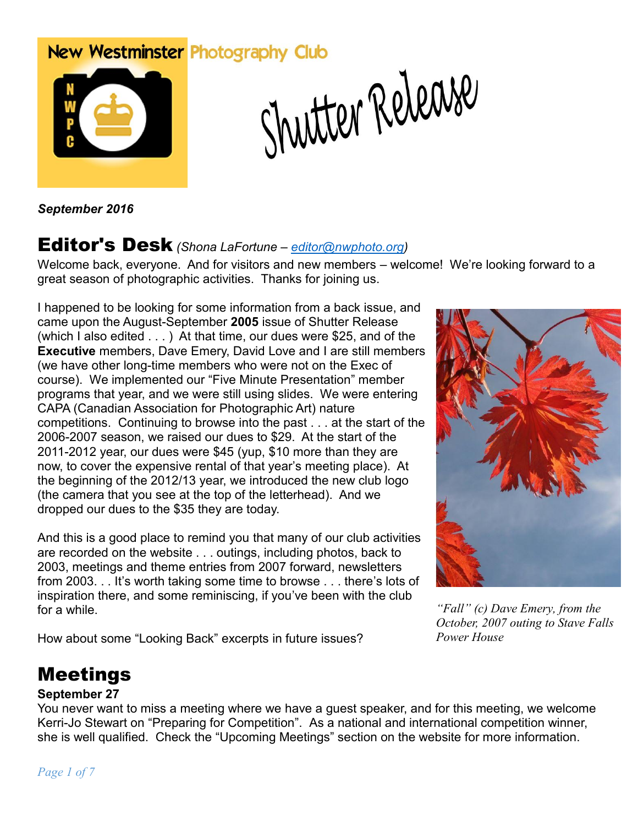# New Westminster Photography Club



Shutter Release

*September 2016*

### Editor's Desk *(Shona LaFortune – [editor@nwphoto.org\)](mailto:editor@nwphoto.org)*

Welcome back, everyone. And for visitors and new members – welcome! We're looking forward to a great season of photographic activities. Thanks for joining us.

I happened to be looking for some information from a back issue, and came upon the August-September **2005** issue of Shutter Release (which I also edited . . . ) At that time, our dues were \$25, and of the **Executive** members, Dave Emery, David Love and I are still members (we have other long-time members who were not on the Exec of course). We implemented our "Five Minute Presentation" member programs that year, and we were still using slides. We were entering CAPA (Canadian Association for Photographic Art) nature competitions. Continuing to browse into the past . . . at the start of the 2006-2007 season, we raised our dues to \$29. At the start of the 2011-2012 year, our dues were \$45 (yup, \$10 more than they are now, to cover the expensive rental of that year's meeting place). At the beginning of the 2012/13 year, we introduced the new club logo (the camera that you see at the top of the letterhead). And we dropped our dues to the \$35 they are today.

And this is a good place to remind you that many of our club activities are recorded on the website . . . outings, including photos, back to 2003, meetings and theme entries from 2007 forward, newsletters from 2003. . . It's worth taking some time to browse . . . there's lots of inspiration there, and some reminiscing, if you've been with the club for a while.

How about some "Looking Back" excerpts in future issues?



*"Fall" (c) Dave Emery, from the October, 2007 outing to Stave Falls Power House*

# Meetings

#### **September 27**

You never want to miss a meeting where we have a guest speaker, and for this meeting, we welcome Kerri-Jo Stewart on "Preparing for Competition". As a national and international competition winner, she is well qualified. Check the "Upcoming Meetings" section on the website for more information.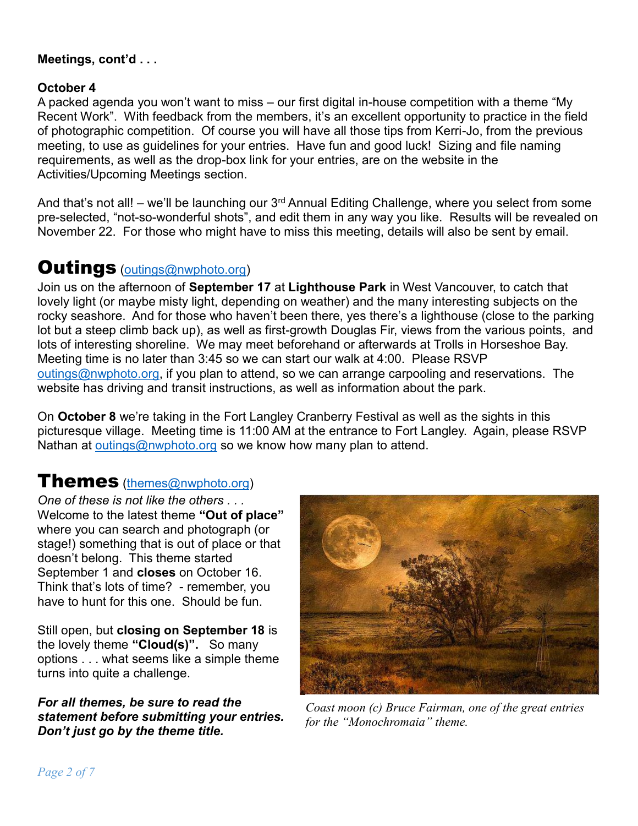#### **Meetings, cont'd . . .**

#### **October 4**

A packed agenda you won't want to miss – our first digital in-house competition with a theme "My Recent Work". With feedback from the members, it's an excellent opportunity to practice in the field of photographic competition. Of course you will have all those tips from Kerri-Jo, from the previous meeting, to use as guidelines for your entries. Have fun and good luck! Sizing and file naming requirements, as well as the drop-box link for your entries, are on the website in the Activities/Upcoming Meetings section.

And that's not all! – we'll be launching our  $3<sup>rd</sup>$  Annual Editing Challenge, where you select from some pre-selected, "not-so-wonderful shots", and edit them in any way you like. Results will be revealed on November 22. For those who might have to miss this meeting, details will also be sent by email.

### **Outings** [\(outings@nwphoto.org\)](mailto:outings@nwphoto.org)

Join us on the afternoon of **September 17** at **Lighthouse Park** in West Vancouver, to catch that lovely light (or maybe misty light, depending on weather) and the many interesting subjects on the rocky seashore. And for those who haven't been there, yes there's a lighthouse (close to the parking lot but a steep climb back up), as well as first-growth Douglas Fir, views from the various points, and lots of interesting shoreline. We may meet beforehand or afterwards at Trolls in Horseshoe Bay. Meeting time is no later than 3:45 so we can start our walk at 4:00. Please RSVP [outings@nwphoto.org,](mailto:outings@nwphoto.org) if you plan to attend, so we can arrange carpooling and reservations. The website has driving and transit instructions, as well as information about the park.

On **October 8** we're taking in the Fort Langley Cranberry Festival as well as the sights in this picturesque village. Meeting time is 11:00 AM at the entrance to Fort Langley. Again, please RSVP Nathan at [outings@nwphoto.org](mailto:outings@nwphoto.org) so we know how many plan to attend.

### Themes [\(themes@nwphoto.org\)](mailto:themes@nwphoto.org)

*One of these is not like the others . . .*  Welcome to the latest theme **"Out of place"**  where you can search and photograph (or stage!) something that is out of place or that doesn't belong. This theme started September 1 and **closes** on October 16. Think that's lots of time? - remember, you have to hunt for this one. Should be fun.

Still open, but **closing on September 18** is the lovely theme **"Cloud(s)".** So many options . . . what seems like a simple theme turns into quite a challenge.

*For all themes, be sure to read the statement before submitting your entries. Don't just go by the theme title.*



*Coast moon (c) Bruce Fairman, one of the great entries for the "Monochromaia" theme.*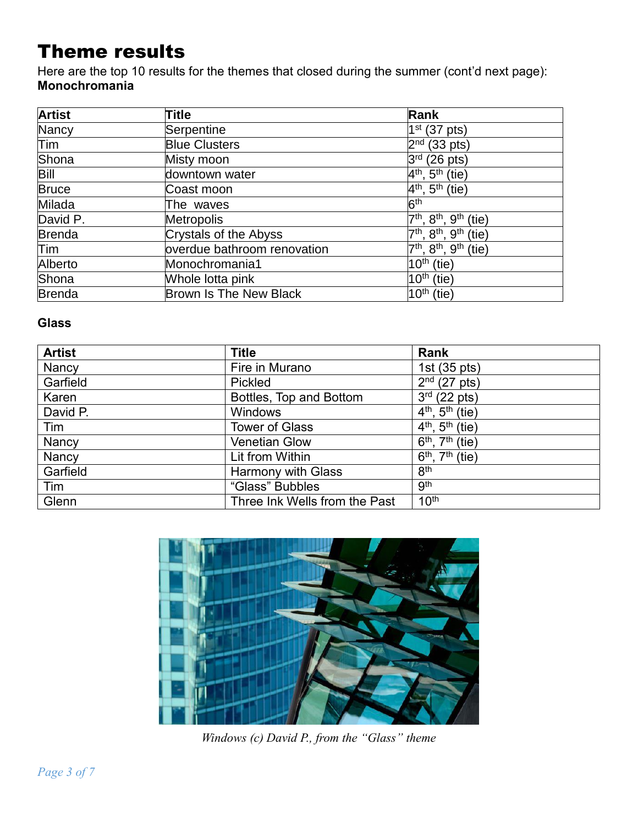# Theme results

Here are the top 10 results for the themes that closed during the summer (cont'd next page): **Monochromania**

| <b>Artist</b> | <b>Title</b>                  | Rank                                                             |
|---------------|-------------------------------|------------------------------------------------------------------|
| Nancy         | Serpentine                    | $1st$ (37 pts)                                                   |
| Tim           | <b>Blue Clusters</b>          | 2 <sub>nd</sub><br>$(33 \text{ pts})$                            |
| Shona         | Misty moon                    | $3^{\mathsf{rd}}$<br>$(26$ pts)                                  |
| Bill          | downtown water                | $4th$ , 5 <sup>th</sup> (tie)                                    |
| <b>Bruce</b>  | Coast moon                    | $4th$ , 5 <sup>th</sup> (tie)                                    |
| Milada        | The waves                     | 6 <sup>th</sup>                                                  |
| David P.      | <b>Metropolis</b>             | $7th$ , $8th$ ,<br>9 <sup>th</sup><br>(tie)                      |
| <b>Brenda</b> | Crystals of the Abyss         | 7 <sup>th</sup> , 8 <sup>th</sup> ,<br>.9 <sup>th</sup><br>(tie) |
| Tim           | overdue bathroom renovation   | $7th$ , $8th$ , $9th$<br>(tie)                                   |
| Alberto       | Monochromania1                | $10^{\text{th}}$ (tie)                                           |
| Shona         | Whole lotta pink              | $10th$ (tie)                                                     |
| <b>Brenda</b> | <b>Brown Is The New Black</b> | $10^{\text{th}}$<br>(tie)                                        |

#### **Glass**

| <b>Artist</b> | <b>Title</b>                  | Rank                                               |
|---------------|-------------------------------|----------------------------------------------------|
| Nancy         | Fire in Murano                | 1st (35 pts)                                       |
| Garfield      | Pickled                       | $2nd$ (27 pts)                                     |
| Karen         | Bottles, Top and Bottom       | $3rd$ (22 pts)                                     |
| David P.      | <b>Windows</b>                | $4^{th}$ , $5^{th}$ (tie)                          |
| Tim           | <b>Tower of Glass</b>         | $4^{th}$ , $5^{th}$ (tie)                          |
| Nancy         | <b>Venetian Glow</b>          | $\overline{6^{th}$ , $7^{th}$ (tie)                |
| Nancy         | Lit from Within               | $\overline{6}^{\text{th}}$ , $7^{\text{th}}$ (tie) |
| Garfield      | <b>Harmony with Glass</b>     | 8 <sup>th</sup>                                    |
| Tim           | "Glass" Bubbles               | <b>gth</b>                                         |
| Glenn         | Three Ink Wells from the Past | 10 <sup>th</sup>                                   |



*Windows (c) David P., from the "Glass" theme*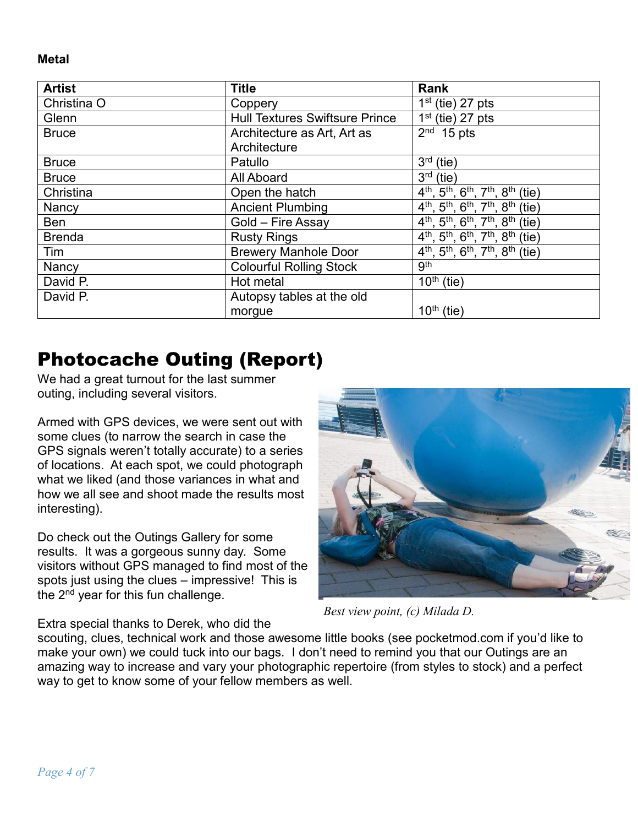**Metal**

| <b>Artist</b> | <b>Title</b>                          | Rank                                                                                                              |
|---------------|---------------------------------------|-------------------------------------------------------------------------------------------------------------------|
| Christina O   | Coppery                               | $1st$ (tie) 27 pts                                                                                                |
| Glenn         | <b>Hull Textures Swiftsure Prince</b> | $1st$ (tie) 27 pts                                                                                                |
| <b>Bruce</b>  | Architecture as Art, Art as           | $2nd$ 15 pts                                                                                                      |
|               | Architecture                          |                                                                                                                   |
| <b>Bruce</b>  | Patullo                               | $3rd$ (tie)                                                                                                       |
| <b>Bruce</b>  | All Aboard                            | $3rd$ (tie)                                                                                                       |
| Christina     | Open the hatch                        | $\overline{4^{th}}$ , $\overline{5^{th}}$ , $\overline{6^{th}}$ , $\overline{7^{th}}$ , $\overline{8^{th}}$ (tie) |
| Nancy         | <b>Ancient Plumbing</b>               | 4 <sup>th</sup> , 5 <sup>th</sup> , 6 <sup>th</sup> , 7 <sup>th</sup> , 8 <sup>th</sup> (tie)                     |
| <b>Ben</b>    | Gold - Fire Assay                     | $\overline{4^{th}}$ , 5 <sup>th</sup> , 6 <sup>th</sup> , 7 <sup>th</sup> , 8 <sup>th</sup> (tie)                 |
| <b>Brenda</b> | <b>Rusty Rings</b>                    | 4 <sup>th</sup> , 5 <sup>th</sup> , 6 <sup>th</sup> , 7 <sup>th</sup> , 8 <sup>th</sup> (tie)                     |
| Tim           | <b>Brewery Manhole Door</b>           | $\overline{4^{th}}$ , 5 <sup>th</sup> , 6 <sup>th</sup> , 7 <sup>th</sup> , 8 <sup>th</sup> (tie)                 |
| Nancy         | <b>Colourful Rolling Stock</b>        | gth                                                                                                               |
| David P.      | Hot metal                             | $\overline{10}$ <sup>th</sup> (tie)                                                                               |
| David P.      | Autopsy tables at the old             |                                                                                                                   |
|               | morgue                                | $10th$ (tie)                                                                                                      |

## Photocache Outing (Report)

We had a great turnout for the last summer outing, including several visitors.

Armed with GPS devices, we were sent out with some clues (to narrow the search in case the GPS signals weren't totally accurate) to a series of locations. At each spot, we could photograph what we liked (and those variances in what and how we all see and shoot made the results most interesting).

Do check out the Outings Gallery for some results. It was a gorgeous sunny day. Some visitors without GPS managed to find most of the spots just using the clues – impressive! This is the  $2<sup>nd</sup>$  year for this fun challenge.

*Best view point, (c) Milada D.*

Extra special thanks to Derek, who did the scouting, clues, technical work and those awesome little books (see pocketmod.com if you'd like to make your own) we could tuck into our bags. I don't need to remind you that our Outings are an amazing way to increase and vary your photographic repertoire (from styles to stock) and a perfect

way to get to know some of your fellow members as well.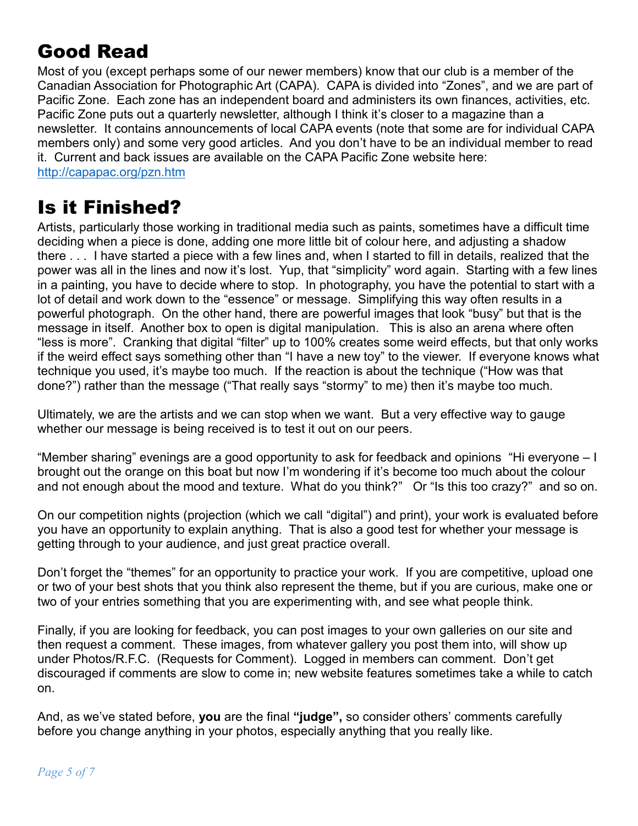# Good Read

Most of you (except perhaps some of our newer members) know that our club is a member of the Canadian Association for Photographic Art (CAPA). CAPA is divided into "Zones", and we are part of Pacific Zone. Each zone has an independent board and administers its own finances, activities, etc. Pacific Zone puts out a quarterly newsletter, although I think it's closer to a magazine than a newsletter. It contains announcements of local CAPA events (note that some are for individual CAPA members only) and some very good articles. And you don't have to be an individual member to read it. Current and back issues are available on the CAPA Pacific Zone website here: <http://capapac.org/pzn.htm>

## Is it Finished?

Artists, particularly those working in traditional media such as paints, sometimes have a difficult time deciding when a piece is done, adding one more little bit of colour here, and adjusting a shadow there . . . I have started a piece with a few lines and, when I started to fill in details, realized that the power was all in the lines and now it's lost. Yup, that "simplicity" word again. Starting with a few lines in a painting, you have to decide where to stop. In photography, you have the potential to start with a lot of detail and work down to the "essence" or message. Simplifying this way often results in a powerful photograph. On the other hand, there are powerful images that look "busy" but that is the message in itself. Another box to open is digital manipulation. This is also an arena where often "less is more". Cranking that digital "filter" up to 100% creates some weird effects, but that only works if the weird effect says something other than "I have a new toy" to the viewer. If everyone knows what technique you used, it's maybe too much. If the reaction is about the technique ("How was that done?") rather than the message ("That really says "stormy" to me) then it's maybe too much.

Ultimately, we are the artists and we can stop when we want. But a very effective way to gauge whether our message is being received is to test it out on our peers.

"Member sharing" evenings are a good opportunity to ask for feedback and opinions "Hi everyone – I brought out the orange on this boat but now I'm wondering if it's become too much about the colour and not enough about the mood and texture. What do you think?" Or "Is this too crazy?" and so on.

On our competition nights (projection (which we call "digital") and print), your work is evaluated before you have an opportunity to explain anything. That is also a good test for whether your message is getting through to your audience, and just great practice overall.

Don't forget the "themes" for an opportunity to practice your work. If you are competitive, upload one or two of your best shots that you think also represent the theme, but if you are curious, make one or two of your entries something that you are experimenting with, and see what people think.

Finally, if you are looking for feedback, you can post images to your own galleries on our site and then request a comment. These images, from whatever gallery you post them into, will show up under Photos/R.F.C. (Requests for Comment). Logged in members can comment. Don't get discouraged if comments are slow to come in; new website features sometimes take a while to catch on.

And, as we've stated before, **you** are the final **"judge",** so consider others' comments carefully before you change anything in your photos, especially anything that you really like.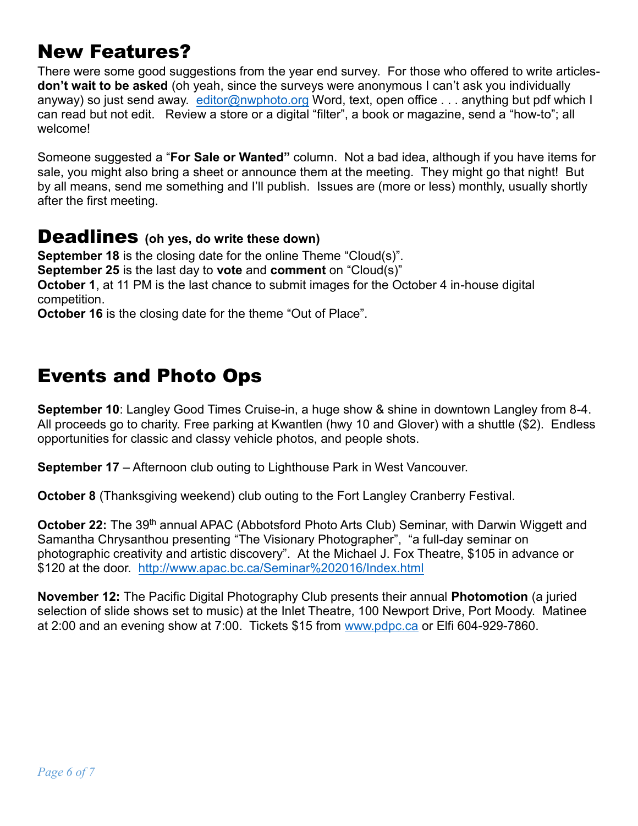# New Features?

There were some good suggestions from the year end survey. For those who offered to write articles**don't wait to be asked** (oh yeah, since the surveys were anonymous I can't ask you individually anyway) so just send away. [editor@nwphoto.org](mailto:editor@nwphoto.org) Word, text, open office . . . anything but pdf which I can read but not edit. Review a store or a digital "filter", a book or magazine, send a "how-to"; all welcome!

Someone suggested a "**For Sale or Wanted"** column. Not a bad idea, although if you have items for sale, you might also bring a sheet or announce them at the meeting. They might go that night! But by all means, send me something and I'll publish. Issues are (more or less) monthly, usually shortly after the first meeting.

#### Deadlines **(oh yes, do write these down)**

**September 18** is the closing date for the online Theme "Cloud(s)". **September 25** is the last day to **vote** and **comment** on "Cloud(s)" **October 1**, at 11 PM is the last chance to submit images for the October 4 in-house digital competition.

**October 16** is the closing date for the theme "Out of Place".

## Events and Photo Ops

**September 10**: Langley Good Times Cruise-in, a huge show & shine in downtown Langley from 8-4. All proceeds go to charity. Free parking at Kwantlen (hwy 10 and Glover) with a shuttle (\$2). Endless opportunities for classic and classy vehicle photos, and people shots.

**September 17** – Afternoon club outing to Lighthouse Park in West Vancouver.

**October 8** (Thanksgiving weekend) club outing to the Fort Langley Cranberry Festival.

October 22: The 39<sup>th</sup> annual APAC (Abbotsford Photo Arts Club) Seminar, with Darwin Wiggett and Samantha Chrysanthou presenting "The Visionary Photographer", "a full-day seminar on photographic creativity and artistic discovery". At the Michael J. Fox Theatre, \$105 in advance or \$120 at the door. <http://www.apac.bc.ca/Seminar%202016/Index.html>

**November 12:** The Pacific Digital Photography Club presents their annual **Photomotion** (a juried selection of slide shows set to music) at the Inlet Theatre, 100 Newport Drive, Port Moody. Matinee at 2:00 and an evening show at 7:00. Tickets \$15 from [www.pdpc.ca](http://www.pdpc.ca/) or Elfi 604-929-7860.